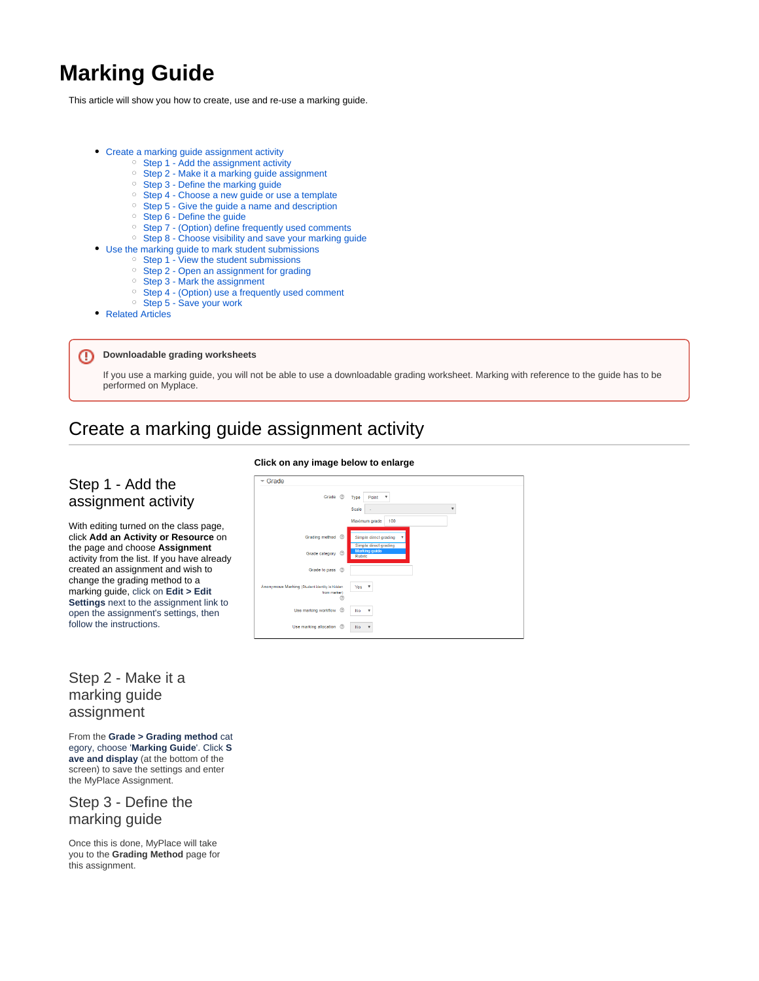# **Marking Guide**

This article will show you how to create, use and re-use a marking guide.

- [Create a marking guide assignment activity](#page-0-0)
	- <sup>o</sup> [Step 1 Add the assignment activity](#page-0-1)
	- <sup>o</sup> [Step 2 Make it a marking guide assignment](#page-0-2)
	- <sup>o</sup> [Step 3 Define the marking guide](#page-0-3)
	- <sup>o</sup> [Step 4 Choose a new guide or use a template](#page-1-0)
	- <sup>o</sup> [Step 5 Give the guide a name and description](#page-1-1)
	- [Step 6 Define the guide](#page-1-2)
	- [Step 7 \(Option\) define frequently used comments](#page-2-0)
	- <sup>o</sup> [Step 8 Choose visibility and save your marking guide](#page-2-1)
	- [Use the marking guide to mark student submissions](#page-3-0)
		- [Step 1 View the student submissions](#page-3-1)
		- <sup>o</sup> [Step 2 Open an assignment for grading](#page-3-2)
		- [Step 3 Mark the assignment](#page-3-3)
		- <sup>o</sup> [Step 4 \(Option\) use a frequently used comment](#page-3-4)
	- <sup>o</sup> [Step 5 Save your work](#page-4-0)
- [Related Articles](#page-4-1)

#### ന **Downloadable grading worksheets**

If you use a marking guide, you will not be able to use a downloadable grading worksheet. Marking with reference to the guide has to be performed on Myplace.

# <span id="page-0-0"></span>Create a marking guide assignment activity

## <span id="page-0-1"></span>Step 1 - Add the assignment activity

With editing turned on the class page, click **Add an Activity or Resource** on the page and choose **Assignment** activity from the list. If you have already created an assignment and wish to change the grading method to a marking guide, click on **Edit > Edit Settings** next to the assignment link to open the assignment's settings, then follow the instructions.

# <span id="page-0-2"></span>Step 2 - Make it a marking guide assignment

From the **Grade > Grading method** cat egory, choose '**Marking Guide**'. Click **S ave and display** (at the bottom of the screen) to save the settings and enter the MyPlace Assignment.

#### <span id="page-0-3"></span>Step 3 - Define the marking guide

Once this is done, MyPlace will take you to the **Grading Method** page for this assignment.

#### **Click on any image below to enlarge**

| $-$ Grade<br>Grade <sup>(2)</sup>                                  | Point<br>Type<br>$\boldsymbol{\mathrm{v}}$<br>Scale<br>v<br>100<br>Maximum grade |
|--------------------------------------------------------------------|----------------------------------------------------------------------------------|
| $\circledR$<br>Grading method                                      | Simple direct grading<br>Simple direct grading                                   |
| $\circledR$<br>Grade category                                      | <b>Marking quide</b><br><b>Rubric</b>                                            |
| Grade to pass (2)                                                  |                                                                                  |
| Anonymous Marking (Student identity is hidden<br>from marker)<br>ෆ | Yes<br>$\mathbf{v}$                                                              |
| Use marking workflow<br>$\circledR$                                | No<br>$\mathbf{v}$                                                               |
| Use marking allocation (2)                                         | <b>No</b>                                                                        |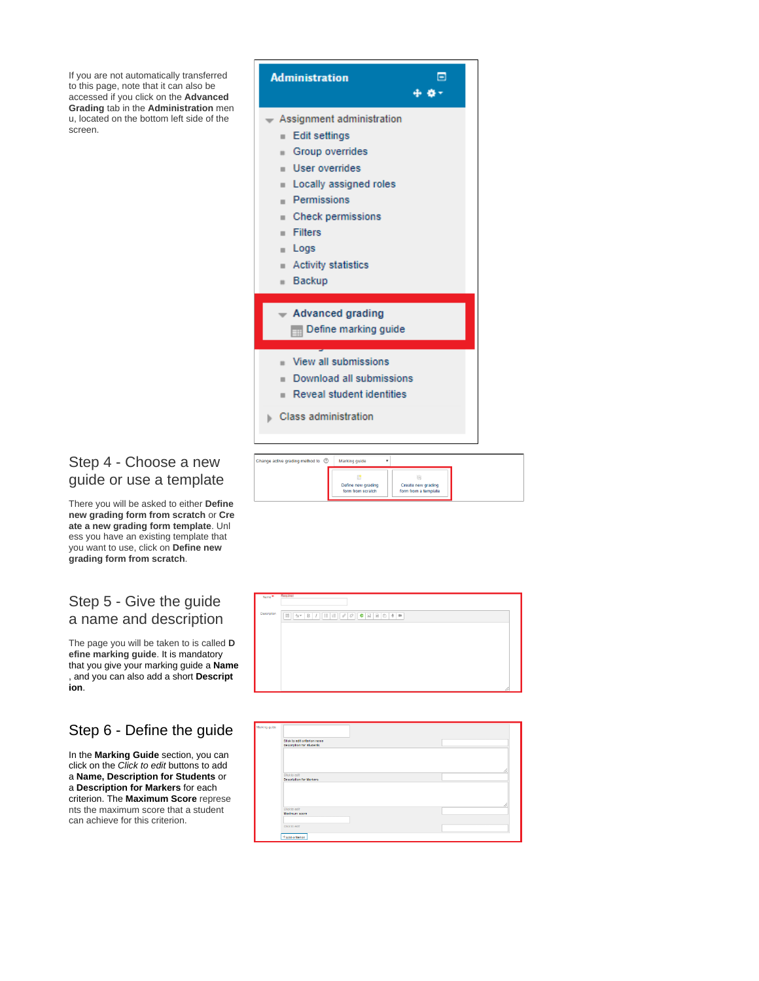If you are not automatically transferred to this page, note that it can also be accessed if you click on the **Advanced Grading** tab in the **Administration** men u, located on the bottom left side of the screen.

<span id="page-1-0"></span>

There you will be asked to either **Define new grading form from scratch** or **Cre ate a new grading form template**. Unl ess you have an existing template that you want to use, click on **Define new grading form from scratch**.

## <span id="page-1-1"></span>Step 5 - Give the guide a name and description

The page you will be taken to is called **D efine marking guide**. It is mandatory that you give your marking guide a **Name** , and you can also add a short **Descript ion**.

# <span id="page-1-2"></span>Step 6 - Define the guide

In the **Marking Guide** section, you can click on the Click to edit buttons to add a **Name, Description for Students** or a **Description for Markers** for each criterion. The **Maximum Score** represe nts the maximum score that a student can achieve for this criterion.





| Click to edit oriterion name<br>Description for Students |  |    |
|----------------------------------------------------------|--|----|
|                                                          |  |    |
|                                                          |  |    |
|                                                          |  |    |
|                                                          |  |    |
| Citck to edit                                            |  | 11 |
| Description for Markers                                  |  |    |
|                                                          |  |    |
|                                                          |  |    |
|                                                          |  |    |
|                                                          |  |    |
|                                                          |  |    |
|                                                          |  |    |
| Citck to edit                                            |  |    |
| Maximum soore                                            |  |    |
|                                                          |  |    |
| Citck to edit                                            |  |    |

⊚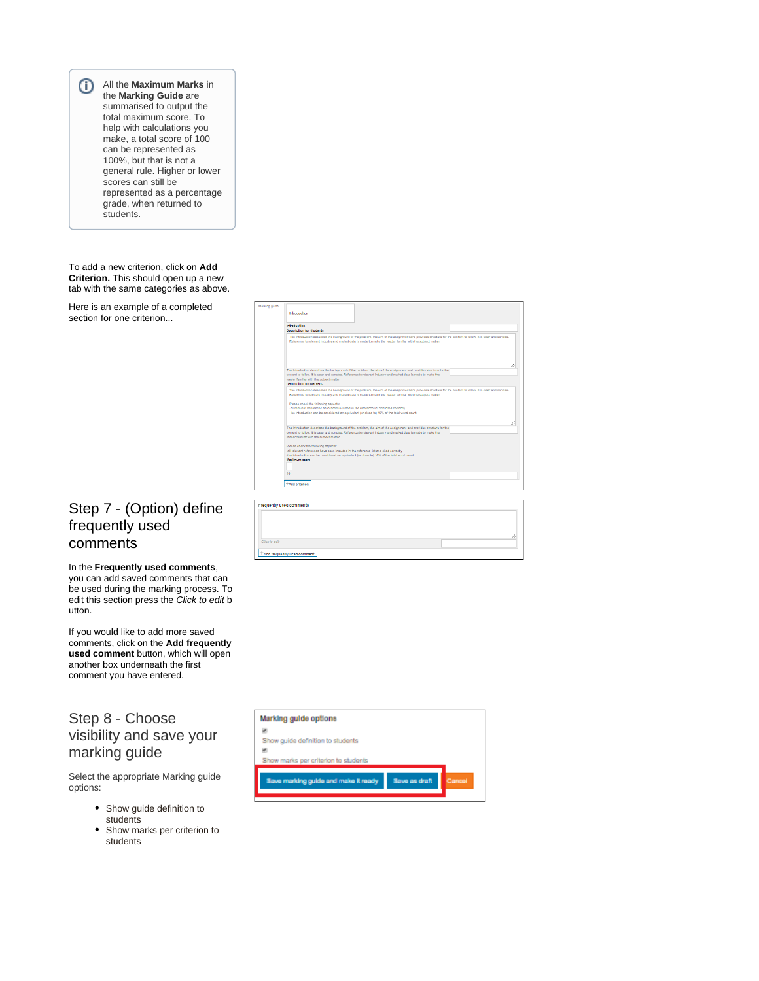All the **Maximum Marks** in the **Marking Guide** are summarised to output the total maximum score. To help with calculations you make, a total score of 100 can be represented as 100%, but that is not a general rule. Higher or lower scores can still be represented as a percentage grade, when returned to students.

To add a new criterion, click on **Add Criterion.** This should open up a new tab with the same categories as above.

Here is an example of a completed section for one criterion...

# <span id="page-2-0"></span>Step 7 - (Option) define frequently used comments

In the **Frequently used comments**, you can add saved comments that can be used during the marking process. To edit this section press the Click to edit b utton.

If you would like to add more saved comments, click on the **Add frequently used comment** button, which will open another box underneath the first comment you have entered.

# <span id="page-2-1"></span>Step 8 - Choose visibility and save your marking guide

Select the appropriate Marking guide options:

- Show guide definition to students
- Show marks per criterion to students

| Infroduction<br>Description for Atudents                                                                                                                                                                                                     |                                                                                                                                                                                                                                                                                                                                                                              |  |
|----------------------------------------------------------------------------------------------------------------------------------------------------------------------------------------------------------------------------------------------|------------------------------------------------------------------------------------------------------------------------------------------------------------------------------------------------------------------------------------------------------------------------------------------------------------------------------------------------------------------------------|--|
|                                                                                                                                                                                                                                              | The Introduction describes the background of the problem, the aim of the assignment and provides structure for the content to follow. It is clear and concise.<br>Reference to relevant industry and market data is made to make the reader familiar with the subject matter.                                                                                                |  |
| reader familiar with the subject matter.<br>Description for Markers                                                                                                                                                                          | The Introduction describes the background of the problem, the aim of the assignment and provides structure for the<br>content to follow. It is clear and concise. Reference to relevant industry and market data is made to make the                                                                                                                                         |  |
| Please check the following aspects:<br>-all relevant references have been included in the reference list and cited correctly                                                                                                                 | The Introduction describes the background of the problem. the aim of the assignment and provides structure for the content to follow. It is clear and concise.<br>Reference to relevant industry and market data is made to make the reader familiar with the subject matter.<br>-the introduction can be considered an equivalent (or close to) 10% of the total word count |  |
| reader familiar with the subject matter.                                                                                                                                                                                                     | The Introduction describes the background of the problem, the aim of the assignment and provides structure for the<br>content to follow. It is clear and concise. Reference to relevant industry and market data is made to make the                                                                                                                                         |  |
| Please check the following aspects:<br>-all relevant references have been included in the reference list and cited correctly<br>-the introduction can be considered an equivalent (or close to) 10% of the total word count<br>Maximum secre |                                                                                                                                                                                                                                                                                                                                                                              |  |
| 10                                                                                                                                                                                                                                           |                                                                                                                                                                                                                                                                                                                                                                              |  |
| +Add oriterion                                                                                                                                                                                                                               |                                                                                                                                                                                                                                                                                                                                                                              |  |

| Frequently used comments    |  |
|-----------------------------|--|
|                             |  |
|                             |  |
|                             |  |
| Click to edit               |  |
| Add frequently used comment |  |

| Marking guide options                |               |        |
|--------------------------------------|---------------|--------|
|                                      |               |        |
| Show guide definition to students    |               |        |
|                                      |               |        |
| Show marks per criterion to students |               |        |
|                                      |               |        |
| Save marking guide and make it ready | Save as draft | Cancel |
|                                      |               |        |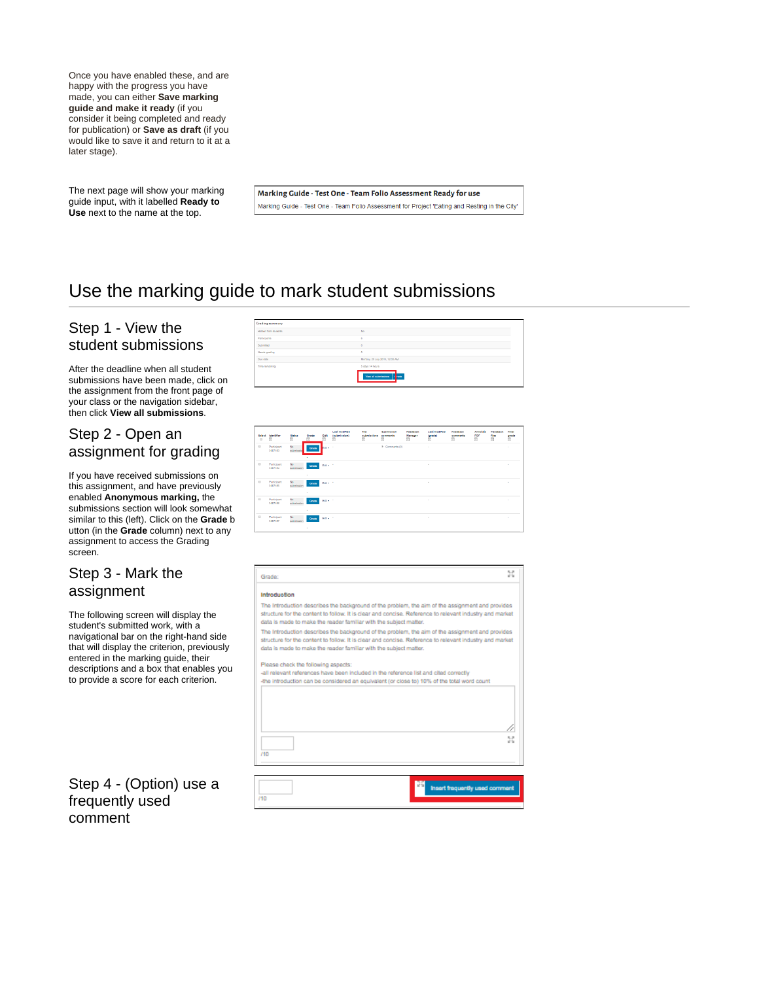Once you have enabled these, and are happy with the progress you have made, you can either **Save marking guide and make it ready** (if you consider it being completed and ready for publication) or **Save as draft** (if you would like to save it and return to it at a later stage).

The next page will show your marking guide input, with it labelled **Ready to Use** next to the name at the top.

Marking Guide - Test One - Team Folio Assessment Ready for use Marking Guide - Test One - Team Folio Assessment for Project 'Eating and Resting in the City'

# <span id="page-3-0"></span>Use the marking guide to mark student submissions

# <span id="page-3-1"></span>Step 1 - View the student submissions

After the deadline when all student submissions have been made, click on the assignment from the front page of your class or the navigation sidebar, then click **View all submissions**.

# <span id="page-3-2"></span>Step 2 - Open an assignment for grading

If you have received submissions on this assignment, and have previously enabled **Anonymous marking,** the submissions section will look somewhat similar to this (left). Click on the **Grade** b utton (in the **Grade** column) next to any assignment to access the Grading screen.

## <span id="page-3-3"></span>Step 3 - Mark the assignment

The following screen will display the student's submitted work, with a navigational bar on the right-hand side that will display the criterion, previously entered in the marking guide, their descriptions and a box that enables you to provide a score for each criterion.

# <span id="page-3-4"></span>Step 4 - (Option) use a frequently used comment



| Salach<br>$\Box$ | Identifier<br>$\Box$   | <b>Status</b><br>$\Box$ | Grade<br>$\Box$ | Edit      | <b>Last modified</b><br>(submission)<br>$\Box$ | File<br>cubmiccions<br>$\qquad \qquad \Box$ | <b>Submission</b><br>comments<br>$\Box$ | Feedback<br>Manager<br>$\begin{array}{c} \hline \end{array}$ | <b>Last modified</b><br>(grade)<br>G | Feedback<br>comments<br>$\overline{\phantom{a}}$ | Annotate<br>PDF<br>$\Box$ | Feedback<br>flies<br>同 | Final<br>grade<br>Ġ. |
|------------------|------------------------|-------------------------|-----------------|-----------|------------------------------------------------|---------------------------------------------|-----------------------------------------|--------------------------------------------------------------|--------------------------------------|--------------------------------------------------|---------------------------|------------------------|----------------------|
| $\Box$           | Participant<br>3057183 | No<br>submissio         | Grade           | Bott - 1  |                                                |                                             | $E$ Comments (0)                        |                                                              | $\sim$                               |                                                  |                           |                        | ×.                   |
| $\Box$           | Participant<br>3057186 | No<br>submission        | Grade<br>$\sim$ | Edit+ 11  |                                                |                                             |                                         |                                                              | $\sim$                               |                                                  |                           |                        | $\sim$               |
| $\Box$           | Participant<br>3067185 | No<br>submission        | Grade<br>$\sim$ | Edite 17  |                                                |                                             |                                         |                                                              | ٠                                    |                                                  |                           |                        | ×.                   |
| $\Box$           | Participant<br>3057186 | No.<br>submission       | Grade<br>٠      | Edity (1) |                                                |                                             |                                         |                                                              | $\mathbf{r}$                         |                                                  |                           |                        | ×                    |
| $\mathbb{R}$     | Participant<br>3057187 | No<br>submission        | Grade<br>$\sim$ | Bdt+ 1    |                                                |                                             |                                         |                                                              | $\sim$                               |                                                  |                           |                        | $\sim$               |

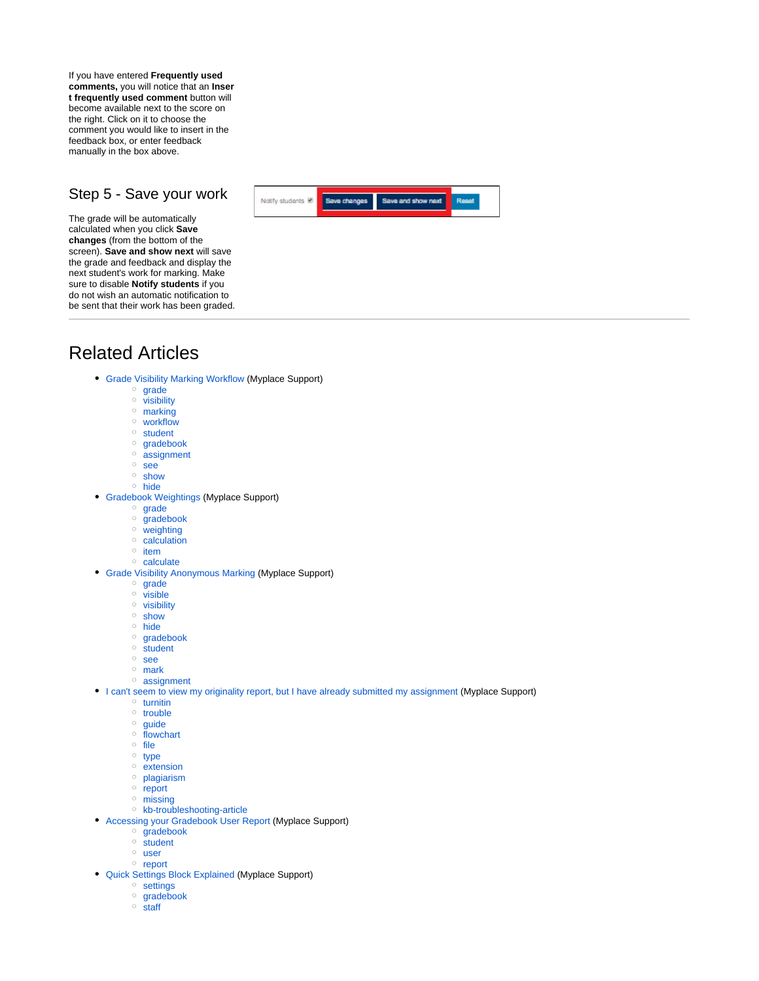If you have entered **Frequently used comments,** you will notice that an **Inser t frequently used comment** button will become available next to the score on the right. Click on it to choose the comment you would like to insert in the feedback box, or enter feedback manually in the box above.

### <span id="page-4-0"></span>Step 5 - Save your work

The grade will be automatically calculated when you click **Save changes** (from the bottom of the screen). **Save and show next** will save the grade and feedback and display the next student's work for marking. Make sure to disable **Notify students** if you do not wish an automatic notification to be sent that their work has been graded.



# <span id="page-4-1"></span>Related Articles

- [Grade Visibility Marking Workflow](https://wiki.lte.strath.ac.uk/display/MS/Grade+Visibility+Marking+Workflow) (Myplace Support)
	- $\circ$  [grade](https://wiki.lte.strath.ac.uk/label/grade)
	- <sup>o</sup> [visibility](https://wiki.lte.strath.ac.uk/label/visibility)
	- o [marking](https://wiki.lte.strath.ac.uk/label/marking)
	- [workflow](https://wiki.lte.strath.ac.uk/label/workflow)
	- <sup>o</sup> [student](https://wiki.lte.strath.ac.uk/label/student)
	- <sup>o</sup> [gradebook](https://wiki.lte.strath.ac.uk/label/gradebook)
	- <sup>o</sup> [assignment](https://wiki.lte.strath.ac.uk/label/assignment)
	- [see](https://wiki.lte.strath.ac.uk/label/see)
	- [show](https://wiki.lte.strath.ac.uk/label/show) [hide](https://wiki.lte.strath.ac.uk/label/hide)
- [Gradebook Weightings](https://wiki.lte.strath.ac.uk/display/MS/Gradebook+Weightings) (Myplace Support)
	- <sup>o</sup> [grade](https://wiki.lte.strath.ac.uk/label/grade)
	- $\circ$  [gradebook](https://wiki.lte.strath.ac.uk/label/gradebook)
	- <sup>o</sup> [weighting](https://wiki.lte.strath.ac.uk/label/weighting)
	- $\circ$  [calculation](https://wiki.lte.strath.ac.uk/label/calculation)
	- $\circ$  [item](https://wiki.lte.strath.ac.uk/label/item)
	- $\circ$  [calculate](https://wiki.lte.strath.ac.uk/label/calculate)
- [Grade Visibility Anonymous Marking](https://wiki.lte.strath.ac.uk/display/MS/Grade+Visibility+Anonymous+Marking) (Myplace Support)
	- o [grade](https://wiki.lte.strath.ac.uk/label/grade)
	- <sup>o</sup> [visible](https://wiki.lte.strath.ac.uk/label/visible)
	- <sup>o</sup> [visibility](https://wiki.lte.strath.ac.uk/label/visibility)
	- <sup>o</sup> [show](https://wiki.lte.strath.ac.uk/label/show)
	- o [hide](https://wiki.lte.strath.ac.uk/label/hide)
	- <sup>o</sup> [gradebook](https://wiki.lte.strath.ac.uk/label/gradebook)  $\circ$  [student](https://wiki.lte.strath.ac.uk/label/student)
	-
	- <sup>o</sup> [see](https://wiki.lte.strath.ac.uk/label/see)
	- [mark](https://wiki.lte.strath.ac.uk/label/mark) <sup>o</sup> [assignment](https://wiki.lte.strath.ac.uk/label/assignment)
- [I can't seem to view my originality report, but I have already submitted my assignment](https://wiki.lte.strath.ac.uk/display/MS/I+can%27t+seem+to+view+my+originality+report%2C+but+I+have+already+submitted+my+assignment) (Myplace Support)
	-
	- $\circ$  [turnitin](https://wiki.lte.strath.ac.uk/label/turnitin) <sup>o</sup> [trouble](https://wiki.lte.strath.ac.uk/label/trouble)
	- o [guide](https://wiki.lte.strath.ac.uk/label/guide)
	- <sup>o</sup> [flowchart](https://wiki.lte.strath.ac.uk/label/flowchart)
	- $\circ$  [file](https://wiki.lte.strath.ac.uk/label/file)
	- <sup>o</sup> [type](https://wiki.lte.strath.ac.uk/label/type)
	- $\circ$  [extension](https://wiki.lte.strath.ac.uk/label/extension)
	- <sup>o</sup> [plagiarism](https://wiki.lte.strath.ac.uk/label/plagiarism)
	- $\circ$  [report](https://wiki.lte.strath.ac.uk/label/report)
	- o [missing](https://wiki.lte.strath.ac.uk/label/missing)
	- <sup>o</sup> [kb-troubleshooting-article](https://wiki.lte.strath.ac.uk/label/kb-troubleshooting-article)
- [Accessing your Gradebook User Report](https://wiki.lte.strath.ac.uk/display/MS/Accessing+your+Gradebook+User+Report) (Myplace Support)
	- <sup>o</sup> [gradebook](https://wiki.lte.strath.ac.uk/label/gradebook)
	- $\circ$  [student](https://wiki.lte.strath.ac.uk/label/student)
	- [user](https://wiki.lte.strath.ac.uk/label/user)
	- o [report](https://wiki.lte.strath.ac.uk/label/report)
- [Quick Settings Block Explained](https://wiki.lte.strath.ac.uk/display/MS/Quick+Settings+Block+Explained) (Myplace Support)
	- <sup>o</sup> [settings](https://wiki.lte.strath.ac.uk/label/settings) <sup>o</sup> [gradebook](https://wiki.lte.strath.ac.uk/label/gradebook)
	-
	- $\circ$  [staff](https://wiki.lte.strath.ac.uk/label/staff)